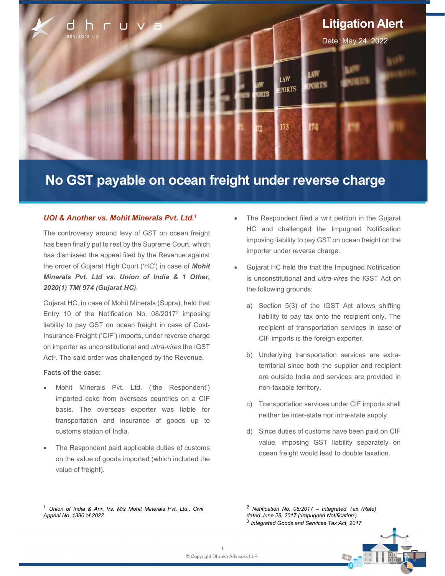

# No GST payable on ocean freight under reverse charge

# UOI & Another vs. Mohit Minerals Pvt. Ltd.<sup>1</sup>

The controversy around levy of GST on ocean freight has been finally put to rest by the Supreme Court, which has dismissed the appeal filed by the Revenue against the order of Gujarat High Court ('HC') in case of Mohit Minerals Pvt. Ltd vs. Union of India & 1 Other, 2020(1) TMI 974 (Gujarat HC).

Gujarat HC, in case of Mohit Minerals (Supra), held that Entry 10 of the Notification No. 08/2017<sup>2</sup> imposing liability to pay GST on ocean freight in case of Cost-Insurance-Freight ('CIF') imports, under reverse charge on importer as unconstitutional and ultra-vires the IGST Act<sup>3</sup>. The said order was challenged by the Revenue.

## Facts of the case:

ł

- Mohit Minerals Pvt. Ltd. ('the Respondent') imported coke from overseas countries on a CIF basis. The overseas exporter was liable for transportation and insurance of goods up to customs station of India.
- The Respondent paid applicable duties of customs on the value of goods imported (which included the value of freight).
- The Respondent filed a writ petition in the Gujarat HC and challenged the Impugned Notification imposing liability to pay GST on ocean freight on the importer under reverse charge.
- Gujarat HC held the that the Impugned Notification is unconstitutional and *ultra-vires* the IGST Act on the following grounds:
	- a) Section 5(3) of the IGST Act allows shifting liability to pay tax onto the recipient only. The recipient of transportation services in case of CIF imports is the foreign exporter.
	- b) Underlying transportation services are extraterritorial since both the supplier and recipient are outside India and services are provided in non-taxable territory.
	- c) Transportation services under CIF imports shall neither be inter-state nor intra-state supply.
	- d) Since duties of customs have been paid on CIF value, imposing GST liability separately on ocean freight would lead to double taxation.

 $2$  Notification No. 08/2017 – Integrated Tax (Rate) dated June 28, 2017 ('Impugned Notification')  $3$  Integrated Goods and Services Tax Act, 2017



<sup>1</sup> Union of India & Anr. Vs. M/s Mohit Minerals Pvt. Ltd., Civil Appeal No. 1390 of 2022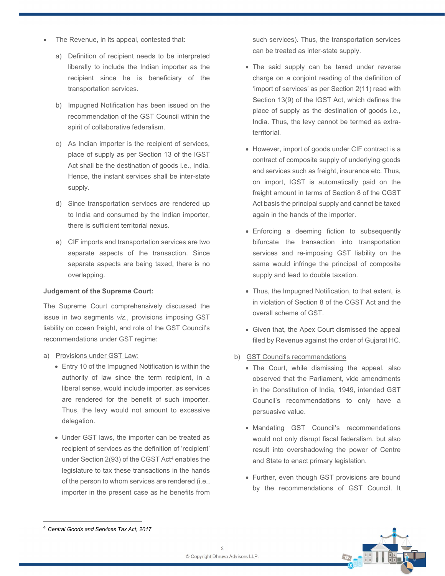- The Revenue, in its appeal, contested that:
	- a) Definition of recipient needs to be interpreted liberally to include the Indian importer as the recipient since he is beneficiary of the transportation services.
	- b) Impugned Notification has been issued on the recommendation of the GST Council within the spirit of collaborative federalism.
	- c) As Indian importer is the recipient of services, place of supply as per Section 13 of the IGST Act shall be the destination of goods i.e., India. Hence, the instant services shall be inter-state supply.
	- d) Since transportation services are rendered up to India and consumed by the Indian importer, there is sufficient territorial nexus.
	- e) CIF imports and transportation services are two separate aspects of the transaction. Since separate aspects are being taxed, there is no overlapping.

## Judgement of the Supreme Court:

The Supreme Court comprehensively discussed the issue in two segments viz., provisions imposing GST liability on ocean freight, and role of the GST Council's recommendations under GST regime:

- a) Provisions under GST Law:
	- Entry 10 of the Impugned Notification is within the authority of law since the term recipient, in a liberal sense, would include importer, as services are rendered for the benefit of such importer. Thus, the levy would not amount to excessive delegation.
	- Under GST laws, the importer can be treated as recipient of services as the definition of 'recipient' under Section 2(93) of the CGST Act<sup>4</sup> enables the legislature to tax these transactions in the hands of the person to whom services are rendered (i.e., importer in the present case as he benefits from

such services). Thus, the transportation services can be treated as inter-state supply.

- The said supply can be taxed under reverse charge on a conjoint reading of the definition of 'import of services' as per Section 2(11) read with Section 13(9) of the IGST Act, which defines the place of supply as the destination of goods i.e., India. Thus, the levy cannot be termed as extraterritorial.
- However, import of goods under CIF contract is a contract of composite supply of underlying goods and services such as freight, insurance etc. Thus, on import, IGST is automatically paid on the freight amount in terms of Section 8 of the CGST Act basis the principal supply and cannot be taxed again in the hands of the importer.
- Enforcing a deeming fiction to subsequently bifurcate the transaction into transportation services and re-imposing GST liability on the same would infringe the principal of composite supply and lead to double taxation.
- Thus, the Impugned Notification, to that extent, is in violation of Section 8 of the CGST Act and the overall scheme of GST.
- Given that, the Apex Court dismissed the appeal filed by Revenue against the order of Gujarat HC.
- b) GST Council's recommendations
	- The Court, while dismissing the appeal, also observed that the Parliament, vide amendments in the Constitution of India, 1949, intended GST Council's recommendations to only have a persuasive value.
	- Mandating GST Council's recommendations would not only disrupt fiscal federalism, but also result into overshadowing the power of Centre and State to enact primary legislation.
	- Further, even though GST provisions are bound by the recommendations of GST Council. It



<sup>4</sup> Central Goods and Services Tax Act, 2017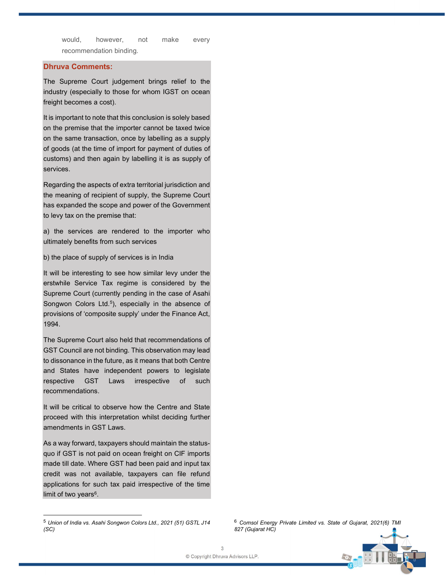would, however, not make every recommendation binding.

# Dhruva Comments:

The Supreme Court judgement brings relief to the industry (especially to those for whom IGST on ocean freight becomes a cost).

It is important to note that this conclusion is solely based on the premise that the importer cannot be taxed twice on the same transaction, once by labelling as a supply of goods (at the time of import for payment of duties of customs) and then again by labelling it is as supply of services.

Regarding the aspects of extra territorial jurisdiction and the meaning of recipient of supply, the Supreme Court has expanded the scope and power of the Government to levy tax on the premise that:

a) the services are rendered to the importer who ultimately benefits from such services

b) the place of supply of services is in India

It will be interesting to see how similar levy under the erstwhile Service Tax regime is considered by the Supreme Court (currently pending in the case of Asahi Songwon Colors Ltd.<sup>5</sup>), especially in the absence of provisions of 'composite supply' under the Finance Act, 1994.

The Supreme Court also held that recommendations of GST Council are not binding. This observation may lead to dissonance in the future, as it means that both Centre and States have independent powers to legislate respective GST Laws irrespective of such recommendations.

It will be critical to observe how the Centre and State proceed with this interpretation whilst deciding further amendments in GST Laws.

As a way forward, taxpayers should maintain the statusquo if GST is not paid on ocean freight on CIF imports made till date. Where GST had been paid and input tax credit was not available, taxpayers can file refund applications for such tax paid irrespective of the time limit of two years<sup>6</sup>.

<sup>&</sup>lt;sup>6</sup> Comsol Energy Private Limited vs. State of Gujarat, 2021(6) TMI 827 (Gujarat HC)



<sup>5</sup> Union of India vs. Asahi Songwon Colors Ltd., 2021 (51) GSTL J14 (SC)